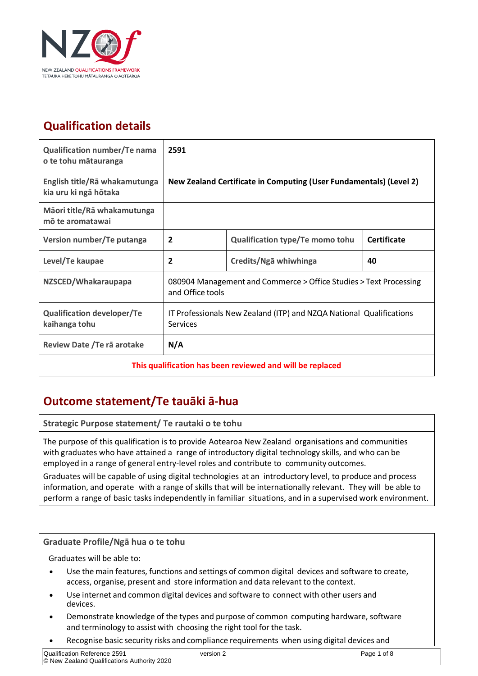

## **Qualification details**

| Qualification number/Te nama<br>o te tohu mātauranga      | 2591                                                                                   |                                        |                    |
|-----------------------------------------------------------|----------------------------------------------------------------------------------------|----------------------------------------|--------------------|
| English title/Rā whakamutunga<br>kia uru ki ngā hōtaka    | New Zealand Certificate in Computing (User Fundamentals) (Level 2)                     |                                        |                    |
| Māori title/Rā whakamutunga<br>mõ te aromatawai           |                                                                                        |                                        |                    |
| Version number/Te putanga                                 | $\overline{2}$                                                                         | <b>Qualification type/Te momo tohu</b> | <b>Certificate</b> |
| Level/Te kaupae                                           | 2                                                                                      | Credits/Ngā whiwhinga                  | 40                 |
| NZSCED/Whakaraupapa                                       | 080904 Management and Commerce > Office Studies > Text Processing<br>and Office tools  |                                        |                    |
| <b>Qualification developer/Te</b><br>kaihanga tohu        | IT Professionals New Zealand (ITP) and NZQA National Qualifications<br><b>Services</b> |                                        |                    |
| Review Date / Te rā arotake                               | N/A                                                                                    |                                        |                    |
| This qualification has been reviewed and will be replaced |                                                                                        |                                        |                    |

### **Outcome statement/Te tauāki ā-hua**

**Strategic Purpose statement/ Te rautaki o te tohu**

The purpose of this qualification is to provide Aotearoa New Zealand organisations and communities with graduates who have attained a range of introductory digital technology skills, and who can be employed in a range of general entry-level roles and contribute to community outcomes.

Graduates will be capable of using digital technologies at an introductory level, to produce and process information, and operate with a range of skills that will be internationally relevant. They will be able to perform a range of basic tasks independently in familiar situations, and in a supervised work environment.

#### **Graduate Profile/Ngā hua o te tohu**

Graduates will be able to:

- Use the main features, functions and settings of common digital devices and software to create, access, organise, present and store information and data relevant to the context.
- Use internet and common digital devices and software to connect with other users and devices.
- Demonstrate knowledge of the types and purpose of common computing hardware, software and terminology to assist with choosing the right tool for the task.
- Recognise basic security risks and compliance requirements when using digital devices and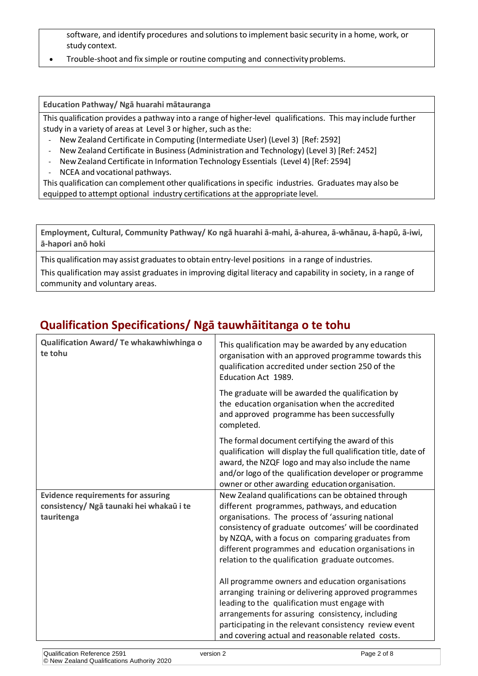software, and identify procedures and solutions to implement basic security in a home, work, or study context.

• Trouble-shoot and fix simple or routine computing and connectivity problems.

**Education Pathway/ Ngā huarahi mātauranga**

This qualification provides a pathway into a range of higher-level qualifications. This may include further study in a variety of areas at Level 3 or higher, such as the:

- New Zealand Certificate in Computing (Intermediate User) (Level 3) [Ref: 2592]
- New Zealand Certificate in Business (Administration and Technology) (Level 3) [Ref: 2452]
- New Zealand Certificate in Information Technology Essentials (Level 4) [Ref: 2594]
- NCEA and vocational pathways.

This qualification can complement other qualifications in specific industries. Graduates may also be equipped to attempt optional industry certifications at the appropriate level.

**Employment, Cultural, Community Pathway/ Ko ngā huarahi ā-mahi, ā-ahurea, ā-whānau, ā-hapū, ā-iwi, ā-hapori anō hoki**

This qualification may assist graduates to obtain entry-level positions in a range of industries.

This qualification may assist graduates in improving digital literacy and capability in society, in a range of community and voluntary areas.

### **Qualification Specifications/ Ngā tauwhāititanga o te tohu**

| Qualification Award/ Te whakawhiwhinga o<br>te tohu | This qualification may be awarded by any education<br>organisation with an approved programme towards this<br>qualification accredited under section 250 of the<br>Education Act 1989.                                                                                                   |
|-----------------------------------------------------|------------------------------------------------------------------------------------------------------------------------------------------------------------------------------------------------------------------------------------------------------------------------------------------|
|                                                     | The graduate will be awarded the qualification by<br>the education organisation when the accredited<br>and approved programme has been successfully<br>completed.                                                                                                                        |
|                                                     | The formal document certifying the award of this<br>qualification will display the full qualification title, date of<br>award, the NZQF logo and may also include the name<br>and/or logo of the qualification developer or programme<br>owner or other awarding education organisation. |
| <b>Evidence requirements for assuring</b>           | New Zealand qualifications can be obtained through                                                                                                                                                                                                                                       |
| consistency/ Ngā taunaki hei whakaū i te            | different programmes, pathways, and education                                                                                                                                                                                                                                            |
| tauritenga                                          | organisations. The process of 'assuring national                                                                                                                                                                                                                                         |
|                                                     | consistency of graduate outcomes' will be coordinated                                                                                                                                                                                                                                    |
|                                                     | by NZQA, with a focus on comparing graduates from<br>different programmes and education organisations in                                                                                                                                                                                 |
|                                                     | relation to the qualification graduate outcomes.                                                                                                                                                                                                                                         |
|                                                     | All programme owners and education organisations                                                                                                                                                                                                                                         |
|                                                     | arranging training or delivering approved programmes                                                                                                                                                                                                                                     |
|                                                     | leading to the qualification must engage with                                                                                                                                                                                                                                            |
|                                                     | arrangements for assuring consistency, including                                                                                                                                                                                                                                         |
|                                                     | participating in the relevant consistency review event                                                                                                                                                                                                                                   |
|                                                     | and covering actual and reasonable related costs.                                                                                                                                                                                                                                        |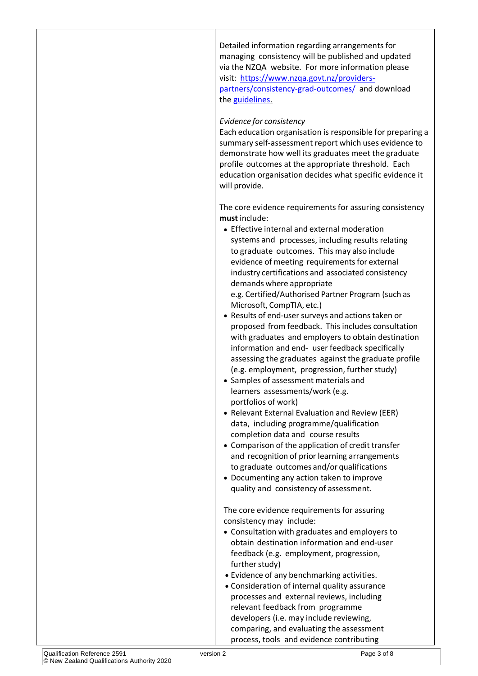Detailed information regarding arrangements for managing consistency will be published and updated via the NZQA website. For more information please visit: [https://www.nzqa.govt.nz/providers](https://www.nzqa.govt.nz/providers-partners/consistency-grad-outcomes/)[partners/consistency-grad-outcomes/](https://www.nzqa.govt.nz/providers-partners/consistency-grad-outcomes/) and download the [guidelines.](http://www.nzqa.govt.nz/assets/Providers-and-partners/Registration-and-accreditation/Consistency-of-graduate-outcomes/guidelines-consistency-of-graduate-outcomes.pdf)

#### *Evidence for consistency*

Each education organisation is responsible for preparing a summary self-assessment report which uses evidence to demonstrate how well its graduates meet the graduate profile outcomes at the appropriate threshold. Each education organisation decides what specific evidence it will provide.

The core evidence requirements for assuring consistency **must** include:

• Effective internal and external moderation systems and processes, including results relating to graduate outcomes. This may also include evidence of meeting requirements for external industry certifications and associated consistency demands where appropriate

e.g. Certified/Authorised Partner Program (such as Microsoft, CompTIA, etc.)

- Results of end-user surveys and actions taken or proposed from feedback. This includes consultation with graduates and employers to obtain destination information and end- user feedback specifically assessing the graduates against the graduate profile (e.g. employment, progression, further study)
- Samples of assessment materials and learners assessments/work (e.g. portfolios of work)
- Relevant External Evaluation and Review (EER) data, including programme/qualification completion data and course results
- Comparison of the application of credit transfer and recognition of prior learning arrangements to graduate outcomes and/or qualifications
- Documenting any action taken to improve quality and consistency of assessment.

The core evidence requirements for assuring consistency may include:

- Consultation with graduates and employers to obtain destination information and end-user feedback (e.g. employment, progression, further study)
- Evidence of any benchmarking activities.
- Consideration of internal quality assurance processes and external reviews, including relevant feedback from programme developers (i.e. may include reviewing, comparing, and evaluating the assessment process, tools and evidence contributing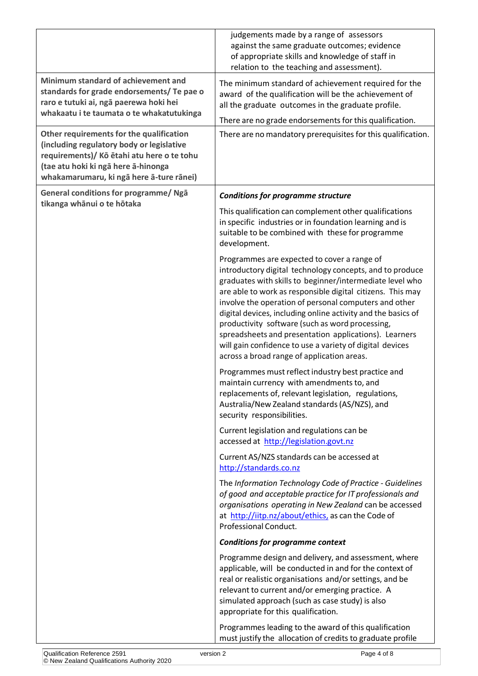|                                                                                                                                                                                                                        | judgements made by a range of assessors<br>against the same graduate outcomes; evidence<br>of appropriate skills and knowledge of staff in<br>relation to the teaching and assessment).                                                                                                                                                                                                                                                                                                                                                                                          |
|------------------------------------------------------------------------------------------------------------------------------------------------------------------------------------------------------------------------|----------------------------------------------------------------------------------------------------------------------------------------------------------------------------------------------------------------------------------------------------------------------------------------------------------------------------------------------------------------------------------------------------------------------------------------------------------------------------------------------------------------------------------------------------------------------------------|
| Minimum standard of achievement and<br>standards for grade endorsements/ Te pae o<br>raro e tutuki ai, ngā paerewa hoki hei<br>whakaatu i te taumata o te whakatutukinga                                               | The minimum standard of achievement required for the<br>award of the qualification will be the achievement of<br>all the graduate outcomes in the graduate profile.                                                                                                                                                                                                                                                                                                                                                                                                              |
|                                                                                                                                                                                                                        | There are no grade endorsements for this qualification.                                                                                                                                                                                                                                                                                                                                                                                                                                                                                                                          |
| Other requirements for the qualification<br>(including regulatory body or legislative<br>requirements)/ Kō ētahi atu here o te tohu<br>(tae atu hoki ki ngā here ā-hinonga<br>whakamarumaru, ki ngā here ā-ture rānei) | There are no mandatory prerequisites for this qualification.                                                                                                                                                                                                                                                                                                                                                                                                                                                                                                                     |
| General conditions for programme/ Ngā                                                                                                                                                                                  | <b>Conditions for programme structure</b>                                                                                                                                                                                                                                                                                                                                                                                                                                                                                                                                        |
| tikanga whānui o te hōtaka                                                                                                                                                                                             | This qualification can complement other qualifications<br>in specific industries or in foundation learning and is<br>suitable to be combined with these for programme<br>development.                                                                                                                                                                                                                                                                                                                                                                                            |
|                                                                                                                                                                                                                        | Programmes are expected to cover a range of<br>introductory digital technology concepts, and to produce<br>graduates with skills to beginner/intermediate level who<br>are able to work as responsible digital citizens. This may<br>involve the operation of personal computers and other<br>digital devices, including online activity and the basics of<br>productivity software (such as word processing,<br>spreadsheets and presentation applications). Learners<br>will gain confidence to use a variety of digital devices<br>across a broad range of application areas. |
|                                                                                                                                                                                                                        | Programmes must reflect industry best practice and<br>maintain currency with amendments to, and<br>replacements of, relevant legislation, regulations,<br>Australia/New Zealand standards (AS/NZS), and<br>security responsibilities.                                                                                                                                                                                                                                                                                                                                            |
|                                                                                                                                                                                                                        | Current legislation and regulations can be<br>accessed at http://legislation.govt.nz                                                                                                                                                                                                                                                                                                                                                                                                                                                                                             |
|                                                                                                                                                                                                                        | Current AS/NZS standards can be accessed at<br>http://standards.co.nz                                                                                                                                                                                                                                                                                                                                                                                                                                                                                                            |
|                                                                                                                                                                                                                        | The Information Technology Code of Practice - Guidelines<br>of good and acceptable practice for IT professionals and<br>organisations operating in New Zealand can be accessed<br>at http://iitp.nz/about/ethics, as can the Code of<br>Professional Conduct.                                                                                                                                                                                                                                                                                                                    |
|                                                                                                                                                                                                                        | <b>Conditions for programme context</b>                                                                                                                                                                                                                                                                                                                                                                                                                                                                                                                                          |
|                                                                                                                                                                                                                        | Programme design and delivery, and assessment, where<br>applicable, will be conducted in and for the context of<br>real or realistic organisations and/or settings, and be<br>relevant to current and/or emerging practice. A<br>simulated approach (such as case study) is also<br>appropriate for this qualification.                                                                                                                                                                                                                                                          |
|                                                                                                                                                                                                                        | Programmes leading to the award of this qualification<br>must justify the allocation of credits to graduate profile                                                                                                                                                                                                                                                                                                                                                                                                                                                              |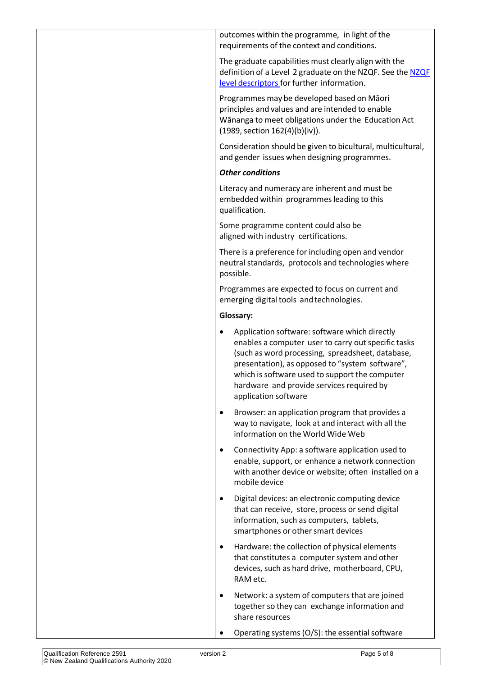| outcomes within the programme, in light of the |  |
|------------------------------------------------|--|
| requirements of the context and conditions.    |  |

The graduate capabilities must clearly align with the definition of a Level 2 graduate on the NZQF. See the [NZQF](http://www.nzqa.govt.nz/assets/Studying-in-NZ/New-Zealand-Qualification-Framework/requirements-nzqf.pdf) level [descriptors](http://www.nzqa.govt.nz/assets/Studying-in-NZ/New-Zealand-Qualification-Framework/requirements-nzqf.pdf) for further information.

Programmes may be developed based on Māori principles and values and are intended to enable Wānanga to meet obligations under the Education Act (1989, section 162(4)(b)(iv)).

Consideration should be given to bicultural, multicultural, and gender issues when designing programmes.

#### *Other conditions*

Literacy and numeracy are inherent and must be embedded within programmesleading to this qualification.

Some programme content could also be aligned with industry certifications.

There is a preference for including open and vendor neutral standards, protocols and technologies where possible.

Programmes are expected to focus on current and emerging digital tools and technologies.

### **Glossary:**

- Application software: software which directly enables a computer user to carry out specific tasks (such as word processing, spreadsheet, database, presentation), as opposed to "system software", which is software used to support the computer hardware and provide services required by application software
- Browser: an application program that provides a way to navigate, look at and interact with all the information on the World Wide Web
- Connectivity App: a software application used to enable, support, or enhance a network connection with another device or website; often installed on a mobile device
- Digital devices: an electronic computing device that can receive, store, process or send digital information, such as computers, tablets, smartphones or other smart devices
- Hardware: the collection of physical elements that constitutes a computer system and other devices, such as hard drive, motherboard, CPU, RAM etc.
- Network: a system of computers that are joined together so they can exchange information and share resources
- Operating systems  $(O/S)$ : the essential software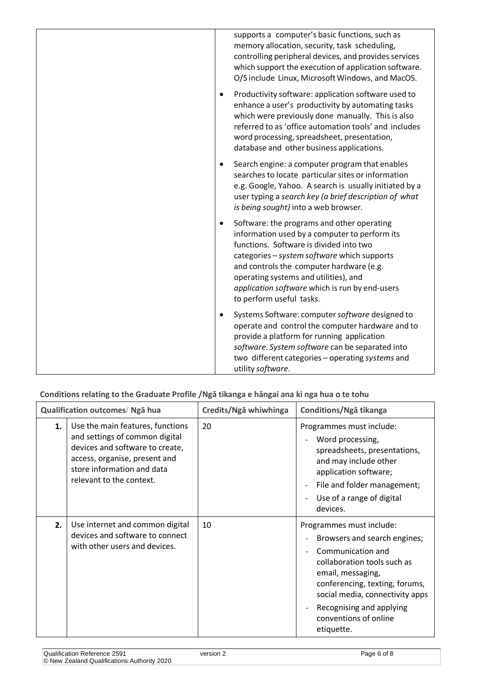|           | supports a computer's basic functions, such as<br>memory allocation, security, task scheduling,<br>controlling peripheral devices, and provides services<br>which support the execution of application software.<br>O/S include Linux, Microsoft Windows, and MacOS.                                                                                     |
|-----------|----------------------------------------------------------------------------------------------------------------------------------------------------------------------------------------------------------------------------------------------------------------------------------------------------------------------------------------------------------|
| $\bullet$ | Productivity software: application software used to<br>enhance a user's productivity by automating tasks<br>which were previously done manually. This is also<br>referred to as 'office automation tools' and includes<br>word processing, spreadsheet, presentation,<br>database and other business applications.                                       |
| $\bullet$ | Search engine: a computer program that enables<br>searches to locate particular sites or information<br>e.g. Google, Yahoo. A search is usually initiated by a<br>user typing a search key (a brief description of what<br>is being sought) into a web browser.                                                                                          |
| $\bullet$ | Software: the programs and other operating<br>information used by a computer to perform its<br>functions. Software is divided into two<br>categories - system software which supports<br>and controls the computer hardware (e.g.<br>operating systems and utilities), and<br>application software which is run by end-users<br>to perform useful tasks. |
|           | Systems Software: computer software designed to<br>operate and control the computer hardware and to<br>provide a platform for running application<br>software. System software can be separated into<br>two different categories - operating systems and<br>utility software.                                                                            |

 **Conditions relating to the Graduate Profile /Ngā tikanga e hāngai ana ki nga hua o te tohu**

|    | Qualification outcomes/ Nga hua                                                                                                                                                                  | Credits/Ngā whiwhinga | Conditions/Nga tikanga                                                                                                                                                                                                                                                                     |
|----|--------------------------------------------------------------------------------------------------------------------------------------------------------------------------------------------------|-----------------------|--------------------------------------------------------------------------------------------------------------------------------------------------------------------------------------------------------------------------------------------------------------------------------------------|
| 1. | Use the main features, functions<br>and settings of common digital<br>devices and software to create,<br>access, organise, present and<br>store information and data<br>relevant to the context. | 20                    | Programmes must include:<br>Word processing,<br>$\overline{\phantom{a}}$<br>spreadsheets, presentations,<br>and may include other<br>application software;<br>File and folder management;<br>$\overline{\phantom{a}}$<br>Use of a range of digital<br>$\overline{\phantom{a}}$<br>devices. |
| 2. | Use internet and common digital<br>devices and software to connect<br>with other users and devices.                                                                                              | 10                    | Programmes must include:<br>Browsers and search engines;<br>Communication and<br>collaboration tools such as<br>email, messaging,<br>conferencing, texting, forums,<br>social media, connectivity apps<br>Recognising and applying<br>conventions of online<br>etiquette.                  |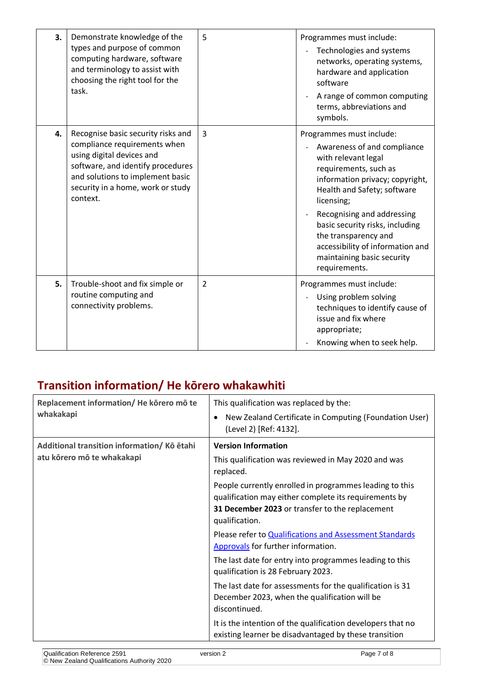| 3. | Demonstrate knowledge of the<br>types and purpose of common<br>computing hardware, software<br>and terminology to assist with<br>choosing the right tool for the<br>task.                                                 | 5              | Programmes must include:<br>Technologies and systems<br>$\overline{\phantom{a}}$<br>networks, operating systems,<br>hardware and application<br>software<br>A range of common computing<br>terms, abbreviations and<br>symbols.                                                                                                                                     |
|----|---------------------------------------------------------------------------------------------------------------------------------------------------------------------------------------------------------------------------|----------------|---------------------------------------------------------------------------------------------------------------------------------------------------------------------------------------------------------------------------------------------------------------------------------------------------------------------------------------------------------------------|
| 4. | Recognise basic security risks and<br>compliance requirements when<br>using digital devices and<br>software, and identify procedures<br>and solutions to implement basic<br>security in a home, work or study<br>context. | $\overline{3}$ | Programmes must include:<br>Awareness of and compliance<br>with relevant legal<br>requirements, such as<br>information privacy; copyright,<br>Health and Safety; software<br>licensing;<br>Recognising and addressing<br>basic security risks, including<br>the transparency and<br>accessibility of information and<br>maintaining basic security<br>requirements. |
| 5. | Trouble-shoot and fix simple or<br>routine computing and<br>connectivity problems.                                                                                                                                        | $\overline{2}$ | Programmes must include:<br>Using problem solving<br>techniques to identify cause of<br>issue and fix where<br>appropriate;<br>Knowing when to seek help.                                                                                                                                                                                                           |

# **Transition information/ He kōrero whakawhiti**

| Replacement information/He korero mo te    | This qualification was replaced by the:                                                                                                                             |
|--------------------------------------------|---------------------------------------------------------------------------------------------------------------------------------------------------------------------|
| whakakapi                                  | New Zealand Certificate in Computing (Foundation User)<br>$\bullet$<br>(Level 2) [Ref: 4132].                                                                       |
| Additional transition information/Kō etahi | <b>Version Information</b>                                                                                                                                          |
| atu kõrero mõ te whakakapi                 | This qualification was reviewed in May 2020 and was<br>replaced.                                                                                                    |
|                                            | People currently enrolled in programmes leading to this<br>qualification may either complete its requirements by<br>31 December 2023 or transfer to the replacement |
|                                            | qualification.                                                                                                                                                      |
|                                            | Please refer to Qualifications and Assessment Standards<br>Approvals for further information.                                                                       |
|                                            | The last date for entry into programmes leading to this<br>qualification is 28 February 2023.                                                                       |
|                                            | The last date for assessments for the qualification is 31<br>December 2023, when the qualification will be<br>discontinued.                                         |
|                                            | It is the intention of the qualification developers that no<br>existing learner be disadvantaged by these transition                                                |